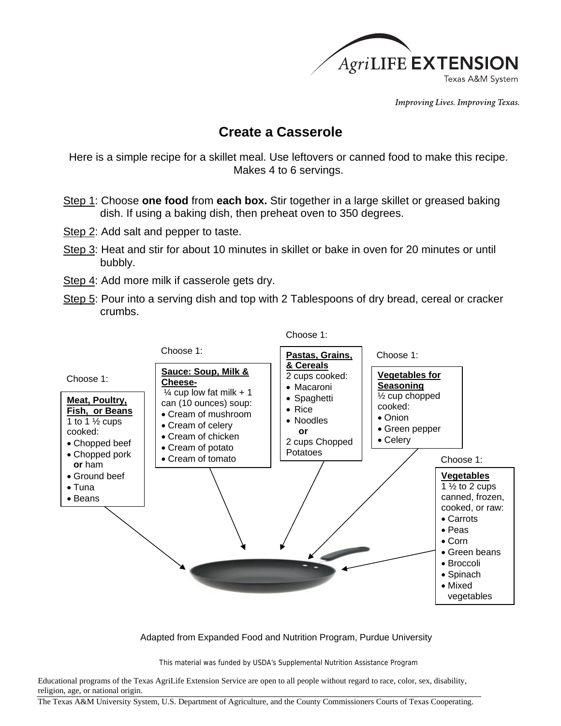

**Improving Lives. Improving Texas.** 

## **Create a Casserole**

Here is a simple recipe for a skillet meal. Use leftovers or canned food to make this recipe. Makes 4 to 6 servings.

- Step 1: Choose **one food** from **each box.** Stir together in a large skillet or greased baking dish. If using a baking dish, then preheat oven to 350 degrees.
- Step 2: Add salt and pepper to taste.
- Step 3: Heat and stir for about 10 minutes in skillet or bake in oven for 20 minutes or until bubbly.
- Step 4: Add more milk if casserole gets dry.
- Step 5: Pour into a serving dish and top with 2 Tablespoons of dry bread, cereal or cracker crumbs.



Adapted from Expanded Food and Nutrition Program, Purdue University

This material was funded by USDA's Supplemental Nutrition Assistance Program

Educational programs of the Texas AgriLife Extension Service are open to all people without regard to race, color, sex, disability, religion, age, or national origin.

The Texas A&M University System, U.S. Department of Agriculture, and the County Commissioners Courts of Texas Cooperating.